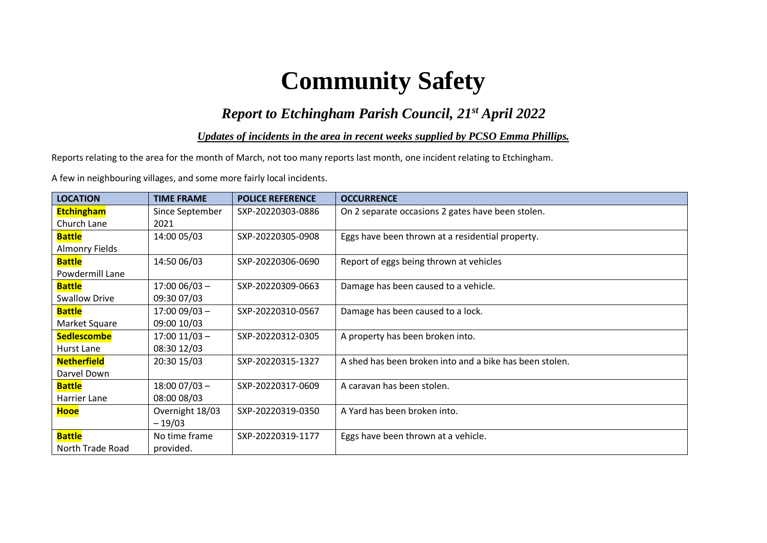# **Community Safety**

## *Report to Etchingham Parish Council, 21st April 2022*

#### *Updates of incidents in the area in recent weeks supplied by PCSO Emma Phillips.*

Reports relating to the area for the month of March, not too many reports last month, one incident relating to Etchingham.

A few in neighbouring villages, and some more fairly local incidents.

| <b>LOCATION</b>       | <b>TIME FRAME</b> | <b>POLICE REFERENCE</b> | <b>OCCURRENCE</b>                                       |
|-----------------------|-------------------|-------------------------|---------------------------------------------------------|
| <b>Etchingham</b>     | Since September   | SXP-20220303-0886       | On 2 separate occasions 2 gates have been stolen.       |
| Church Lane           | 2021              |                         |                                                         |
| <b>Battle</b>         | 14:00 05/03       | SXP-20220305-0908       | Eggs have been thrown at a residential property.        |
| <b>Almonry Fields</b> |                   |                         |                                                         |
| <b>Battle</b>         | 14:50 06/03       | SXP-20220306-0690       | Report of eggs being thrown at vehicles                 |
| Powdermill Lane       |                   |                         |                                                         |
| <b>Battle</b>         | $17:0006/03 -$    | SXP-20220309-0663       | Damage has been caused to a vehicle.                    |
| <b>Swallow Drive</b>  | 09:30 07/03       |                         |                                                         |
| <b>Battle</b>         | $17:0009/03 -$    | SXP-20220310-0567       | Damage has been caused to a lock.                       |
| Market Square         | 09:00 10/03       |                         |                                                         |
| <b>Sedlescombe</b>    | $17:00$ $11/03$ - | SXP-20220312-0305       | A property has been broken into.                        |
| Hurst Lane            | 08:30 12/03       |                         |                                                         |
| <b>Netherfield</b>    | 20:30 15/03       | SXP-20220315-1327       | A shed has been broken into and a bike has been stolen. |
| Darvel Down           |                   |                         |                                                         |
| <b>Battle</b>         | $18:0007/03 -$    | SXP-20220317-0609       | A caravan has been stolen.                              |
| Harrier Lane          | 08:00 08/03       |                         |                                                         |
| <b>Hooe</b>           | Overnight 18/03   | SXP-20220319-0350       | A Yard has been broken into.                            |
|                       | $-19/03$          |                         |                                                         |
| <b>Battle</b>         | No time frame     | SXP-20220319-1177       | Eggs have been thrown at a vehicle.                     |
| North Trade Road      | provided.         |                         |                                                         |